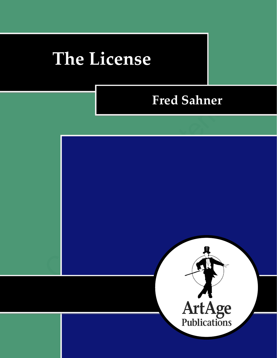# **The License**

# **Fred Sahner**

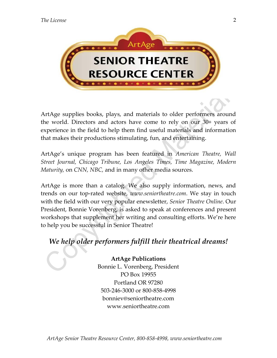

ArtAge supplies books, plays, and materials to older performers around the world. Directors and actors have come to rely on our 30+ years of experience in the field to help them find useful materials and information that makes their productions stimulating, fun, and entertaining.

ArtAge's unique program has been featured in *American Theatre, Wall Street Journal, Chicago Tribune, Los Angeles Times, Time Magazine, Modern Maturity,* on *CNN, NBC,* and in many other media sources.

ArtAge is more than a catalog. We also supply information, news, and trends on our top-rated website, *www.seniortheatre.com*. We stay in touch with the field with our very popular enewsletter, *Senior Theatre Online*. Our President, Bonnie Vorenberg, is asked to speak at conferences and present workshops that supplement her writing and consulting efforts. We're here to help you be successful in Senior Theatre!

# *We help older performers fulfill their theatrical dreams!*

**ArtAge Publications** Bonnie L. Vorenberg, President PO Box 19955 Portland OR 97280 503-246-3000 or 800-858-4998 bonniev@seniortheatre.com www.seniortheatre.com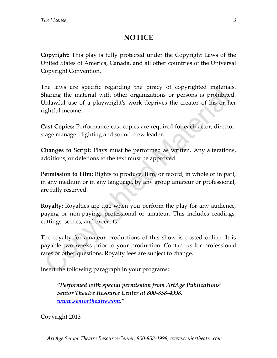### **NOTICE**

**Copyright:** This play is fully protected under the Copyright Laws of the United States of America, Canada, and all other countries of the Universal Copyright Convention.

The laws are specific regarding the piracy of copyrighted materials. Sharing the material with other organizations or persons is prohibited. Unlawful use of a playwright's work deprives the creator of his or her rightful income.

**Cast Copies:** Performance cast copies are required for each actor, director, stage manager, lighting and sound crew leader.

**Changes to Script:** Plays must be performed as written. Any alterations, additions, or deletions to the text must be approved.

**Permission to Film:** Rights to produce, film, or record, in whole or in part, in any medium or in any language, by any group amateur or professional, are fully reserved.

**Royalty:** Royalties are due when you perform the play for any audience, paying or non-paying, professional or amateur. This includes readings, cuttings, scenes, and excerpts.

The royalty for amateur productions of this show is posted online. It is payable two weeks prior to your production. Contact us for professional rates or other questions. Royalty fees are subject to change.

Insert the following paragraph in your programs:

*"Performed with special permission from ArtAge Publications' Senior Theatre Resource Center at 800-858-4998, [www.seniortheatre.com](http://www.seniortheatre.com/)."*

Copyright 2013

3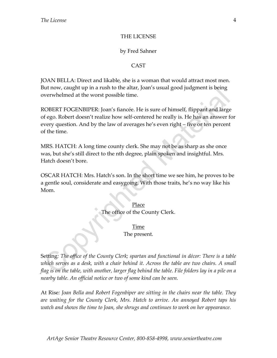#### THE LICENSE

#### by Fred Sahner

#### CAST

JOAN BELLA: Direct and likable, she is a woman that would attract most men. But now, caught up in a rush to the altar, Joan's usual good judgment is being overwhelmed at the worst possible time.

ROBERT FOGENBIPER: Joan's fiancée. He is sure of himself, flippant and large of ego. Robert doesn't realize how self-centered he really is. He has an answer for every question. And by the law of averages he's even right – five or ten percent of the time.

MRS. HATCH: A long time county clerk. She may not be as sharp as she once was, but she's still direct to the nth degree, plain spoken and insightful. Mrs. Hatch doesn't bore.

OSCAR HATCH: Mrs. Hatch's son. In the short time we see him, he proves to be a gentle soul, considerate and easygoing. With those traits, he's no way like his Mom.

> Place The office of the County Clerk.

#### Time

The present.

Setting*: The office of the County Clerk; spartan and functional in décor: There is a table*  which serves as a desk, with a chair behind it. Across the table are two chairs. A small *flag is on the table, with another, larger flag behind the table. File folders lay in a pile on a nearby table. An official notice or two of some kind can be seen.* 

At Rise*: Joan Bella and Robert Fogenbiper are sitting in the chairs near the table. They are waiting for the County Clerk, Mrs. Hatch to arrive. An annoyed Robert taps his watch and shows the time to Joan, she shrugs and continues to work on her appearance.*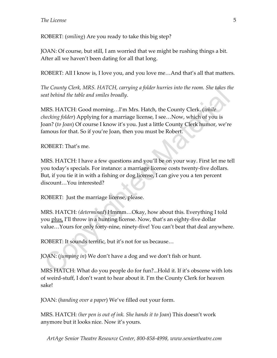ROBERT: (*smiling*) Are you ready to take this big step?

JOAN: Of course, but still, I am worried that we might be rushing things a bit. After all we haven't been dating for all that long.

ROBERT: All I know is, I love you, and you love me…And that's all that matters.

*The County Clerk, MRS. HATCH, carrying a folder hurries into the room. She takes the seat behind the table and smiles broadly*.

MRS. HATCH: Good morning…I'm Mrs. Hatch, the County Clerk. (*while checking folder*) Applying for a marriage license, I see…Now, which of you is Joan? (*to Joan*) Of course I know it's you. Just a little County Clerk humor, we're famous for that. So if you're Joan, then you must be Robert.

ROBERT: That's me.

MRS. HATCH: I have a few questions and you'll be on your way. First let me tell you today's specials. For instance: a marriage license costs twenty-five dollars. But, if you tie it in with a fishing or dog license, I can give you a ten percent discount…You interested?

ROBERT: Just the marriage license, please.

MRS. HATCH: *(determined*) Hmmm…Okay, how about this. Everything I told you plus, I'll throw in a hunting license. Now, that's an eighty-five dollar value…Yours for only forty-nine, ninety-five! You can't beat that deal anywhere.

ROBERT: It sounds terrific, but it's not for us because…

JOAN: (*jumping in*) We don't have a dog and we don't fish or hunt.

MRS HATCH: What do you people do for fun?...Hold it. If it's obscene with lots of weird-stuff, I don't want to hear about it. I'm the County Clerk for heaven sake!

JOAN: (*handing over a paper*) We've filled out your form.

MRS. HATCH: *(her pen is out of ink. She hands it to Joan*) This doesn't work anymore but it looks nice. Now it's yours.

*ArtAge Senior Theatre Resource Center, 800-858-4998, www.seniortheatre.com*